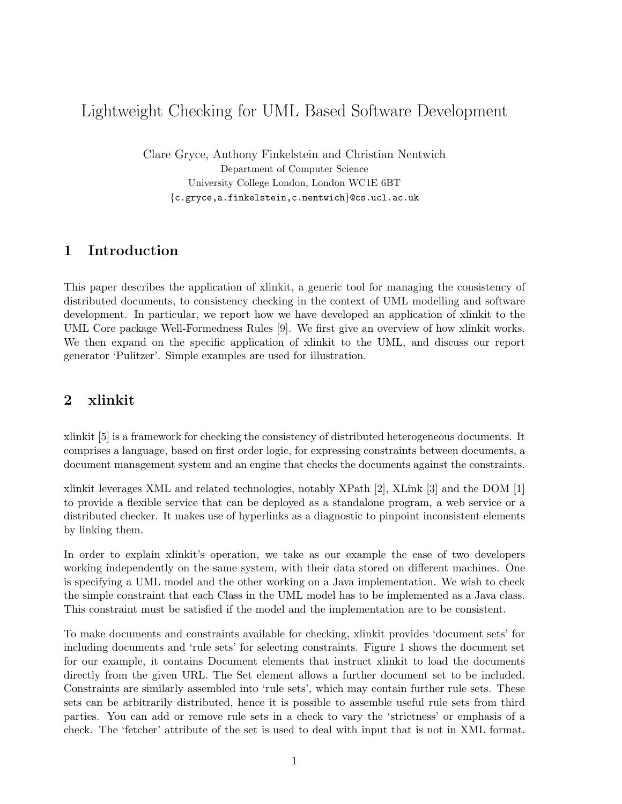# Lightweight Checking for UML Based Software Development

Clare Gryce, Anthony Finkelstein and Christian Nentwich Department of Computer Science University College London, London WC1E 6BT {c.gryce,a.finkelstein,c.nentwich}@cs.ucl.ac.uk

### 1 Introduction

This paper describes the application of xlinkit, a generic tool for managing the consistency of distributed documents, to consistency checking in the context of UML modelling and software development. In particular, we report how we have developed an application of xlinkit to the UML Core package Well-Formedness Rules [9]. We first give an overview of how xlinkit works. We then expand on the specific application of xlinkit to the UML, and discuss our report generator 'Pulitzer'. Simple examples are used for illustration.

## 2 xlinkit

xlinkit [5] is a framework for checking the consistency of distributed heterogeneous documents. It comprises a language, based on first order logic, for expressing constraints between documents, a document management system and an engine that checks the documents against the constraints.

xlinkit leverages XML and related technologies, notably XPath [2], XLink [3] and the DOM [1] to provide a flexible service that can be deployed as a standalone program, a web service or a distributed checker. It makes use of hyperlinks as a diagnostic to pinpoint inconsistent elements by linking them.

In order to explain xlinkit's operation, we take as our example the case of two developers working independently on the same system, with their data stored on different machines. One is specifying a UML model and the other working on a Java implementation. We wish to check the simple constraint that each Class in the UML model has to be implemented as a Java class. This constraint must be satisfied if the model and the implementation are to be consistent.

To make documents and constraints available for checking, xlinkit provides 'document sets' for including documents and 'rule sets' for selecting constraints. Figure 1 shows the document set for our example, it contains Document elements that instruct xlinkit to load the documents directly from the given URL. The Set element allows a further document set to be included. Constraints are similarly assembled into 'rule sets', which may contain further rule sets. These sets can be arbitrarily distributed, hence it is possible to assemble useful rule sets from third parties. You can add or remove rule sets in a check to vary the 'strictness' or emphasis of a check. The 'fetcher' attribute of the set is used to deal with input that is not in XML format.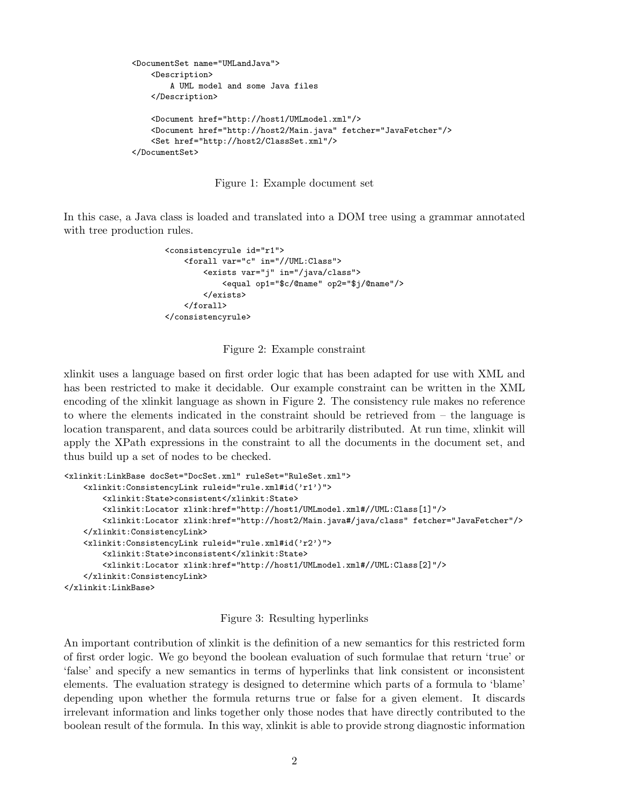```
<DocumentSet name="UMLandJava">
   <Description>
       A UML model and some Java files
    </Description>
    <Document href="http://host1/UMLmodel.xml"/>
    <Document href="http://host2/Main.java" fetcher="JavaFetcher"/>
    <Set href="http://host2/ClassSet.xml"/>
</DocumentSet>
```
Figure 1: Example document set

In this case, a Java class is loaded and translated into a DOM tree using a grammar annotated with tree production rules.

```
<consistencyrule id="r1">
    <forall var="c" in="//UML:Class">
        <exists var="j" in="/java/class">
            <equal op1="$c/@name" op2="$j/@name"/>
        </exists>
    </forall>
</consistencyrule>
```
Figure 2: Example constraint

xlinkit uses a language based on first order logic that has been adapted for use with XML and has been restricted to make it decidable. Our example constraint can be written in the XML encoding of the xlinkit language as shown in Figure 2. The consistency rule makes no reference to where the elements indicated in the constraint should be retrieved from – the language is location transparent, and data sources could be arbitrarily distributed. At run time, xlinkit will apply the XPath expressions in the constraint to all the documents in the document set, and thus build up a set of nodes to be checked.

```
<xlinkit:LinkBase docSet="DocSet.xml" ruleSet="RuleSet.xml">
    <xlinkit:ConsistencyLink ruleid="rule.xml#id('r1')">
        <xlinkit:State>consistent</xlinkit:State>
        <xlinkit:Locator xlink:href="http://host1/UMLmodel.xml#//UML:Class[1]"/>
        <xlinkit:Locator xlink:href="http://host2/Main.java#/java/class" fetcher="JavaFetcher"/>
    </xlinkit:ConsistencyLink>
    <xlinkit:ConsistencyLink ruleid="rule.xml#id('r2')">
        <xlinkit:State>inconsistent</xlinkit:State>
        <xlinkit:Locator xlink:href="http://host1/UMLmodel.xml#//UML:Class[2]"/>
    </xlinkit:ConsistencyLink>
</xlinkit:LinkBase>
```
#### Figure 3: Resulting hyperlinks

An important contribution of xlinkit is the definition of a new semantics for this restricted form of first order logic. We go beyond the boolean evaluation of such formulae that return 'true' or 'false' and specify a new semantics in terms of hyperlinks that link consistent or inconsistent elements. The evaluation strategy is designed to determine which parts of a formula to 'blame' depending upon whether the formula returns true or false for a given element. It discards irrelevant information and links together only those nodes that have directly contributed to the boolean result of the formula. In this way, xlinkit is able to provide strong diagnostic information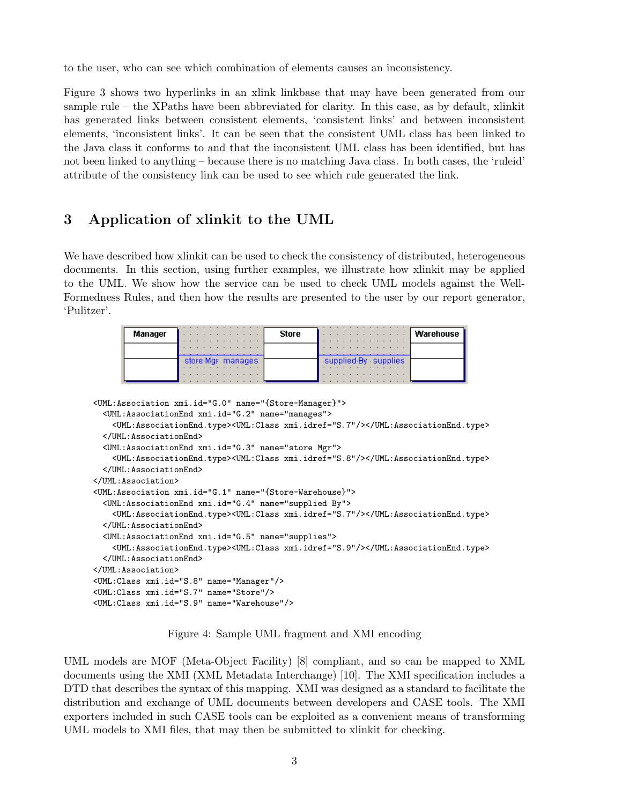to the user, who can see which combination of elements causes an inconsistency.

Figure 3 shows two hyperlinks in an xlink linkbase that may have been generated from our sample rule – the XPaths have been abbreviated for clarity. In this case, as by default, xlinkit has generated links between consistent elements, 'consistent links' and between inconsistent elements, 'inconsistent links'. It can be seen that the consistent UML class has been linked to the Java class it conforms to and that the inconsistent UML class has been identified, but has not been linked to anything – because there is no matching Java class. In both cases, the 'ruleid' attribute of the consistency link can be used to see which rule generated the link.

# 3 Application of xlinkit to the UML

We have described how xlinkit can be used to check the consistency of distributed, heterogeneous documents. In this section, using further examples, we illustrate how xlinkit may be applied to the UML. We show how the service can be used to check UML models against the Well-Formedness Rules, and then how the results are presented to the user by our report generator, 'Pulitzer'.

| Manager |                        | <b>Store</b> |                           | Warehouse |
|---------|------------------------|--------------|---------------------------|-----------|
|         |                        |              |                           |           |
|         | store Mgr manages<br>. |              | supplied By supplies<br>. |           |

```
<UML:Association xmi.id="G.0" name="{Store-Manager}">
 <UML:AssociationEnd xmi.id="G.2" name="manages">
    <UML:AssociationEnd.type><UML:Class xmi.idref="S.7"/></UML:AssociationEnd.type>
 </UML:AssociationEnd>
 <UML:AssociationEnd xmi.id="G.3" name="store Mgr">
    <UML:AssociationEnd.type><UML:Class xmi.idref="S.8"/></UML:AssociationEnd.type>
 </UML:AssociationEnd>
</UML:Association>
<UML:Association xmi.id="G.1" name="{Store-Warehouse}">
 <UML:AssociationEnd xmi.id="G.4" name="supplied By">
    <UML:AssociationEnd.type><UML:Class xmi.idref="S.7"/></UML:AssociationEnd.type>
 </UML:AssociationEnd>
 <UML:AssociationEnd xmi.id="G.5" name="supplies">
    <UML:AssociationEnd.type><UML:Class xmi.idref="S.9"/></UML:AssociationEnd.type>
 </UML:AssociationEnd>
</UML:Association>
<UML:Class xmi.id="S.8" name="Manager"/>
<UML:Class xmi.id="S.7" name="Store"/>
<UML:Class xmi.id="S.9" name="Warehouse"/>
```
Figure 4: Sample UML fragment and XMI encoding

UML models are MOF (Meta-Object Facility) [8] compliant, and so can be mapped to XML documents using the XMI (XML Metadata Interchange) [10]. The XMI specification includes a DTD that describes the syntax of this mapping. XMI was designed as a standard to facilitate the distribution and exchange of UML documents between developers and CASE tools. The XMI exporters included in such CASE tools can be exploited as a convenient means of transforming UML models to XMI files, that may then be submitted to xlinkit for checking.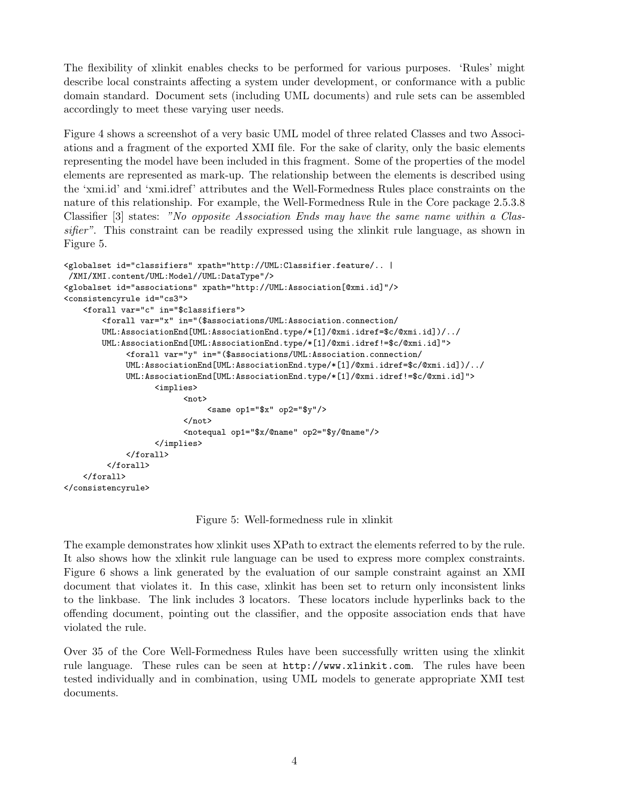The flexibility of xlinkit enables checks to be performed for various purposes. 'Rules' might describe local constraints affecting a system under development, or conformance with a public domain standard. Document sets (including UML documents) and rule sets can be assembled accordingly to meet these varying user needs.

Figure 4 shows a screenshot of a very basic UML model of three related Classes and two Associations and a fragment of the exported XMI file. For the sake of clarity, only the basic elements representing the model have been included in this fragment. Some of the properties of the model elements are represented as mark-up. The relationship between the elements is described using the 'xmi.id' and 'xmi.idref' attributes and the Well-Formedness Rules place constraints on the nature of this relationship. For example, the Well-Formedness Rule in the Core package 2.5.3.8 Classifier [3] states: "No opposite Association Ends may have the same name within a Classifier". This constraint can be readily expressed using the xlinkit rule language, as shown in Figure 5.

```
<globalset id="classifiers" xpath="http://UML:Classifier.feature/.. |
/XMI/XMI.content/UML:Model//UML:DataType"/>
<globalset id="associations" xpath="http://UML:Association[@xmi.id]"/>
<consistencyrule id="cs3">
    <forall var="c" in="$classifiers">
        <forall var="x" in="($associations/UML:Association.connection/
        UML:AssociationEnd[UML:AssociationEnd.type/*[1]/@xmi.idref=$c/@xmi.id])/../
        UML:AssociationEnd[UML:AssociationEnd.type/*[1]/@xmi.idref!=$c/@xmi.id]">
             <forall var="y" in="($associations/UML:Association.connection/
             UML:AssociationEnd[UML:AssociationEnd.type/*[1]/@xmi.idref=$c/@xmi.id])/../
             UML:AssociationEnd[UML:AssociationEnd.type/*[1]/@xmi.idref!=$c/@xmi.id]">
                   <implies>
                         <not>
                              \frac{1}{8} <same op1="$x" op2="$y"/>
                         </not>
                         <notequal op1="$x/@name" op2="$y/@name"/>
                   </implies>
             </forall>
         </forall>
    </forall>
</consistencyrule>
```
Figure 5: Well-formedness rule in xlinkit

The example demonstrates how xlinkit uses XPath to extract the elements referred to by the rule. It also shows how the xlinkit rule language can be used to express more complex constraints. Figure 6 shows a link generated by the evaluation of our sample constraint against an XMI document that violates it. In this case, xlinkit has been set to return only inconsistent links to the linkbase. The link includes 3 locators. These locators include hyperlinks back to the offending document, pointing out the classifier, and the opposite association ends that have violated the rule.

Over 35 of the Core Well-Formedness Rules have been successfully written using the xlinkit rule language. These rules can be seen at http://www.xlinkit.com. The rules have been tested individually and in combination, using UML models to generate appropriate XMI test documents.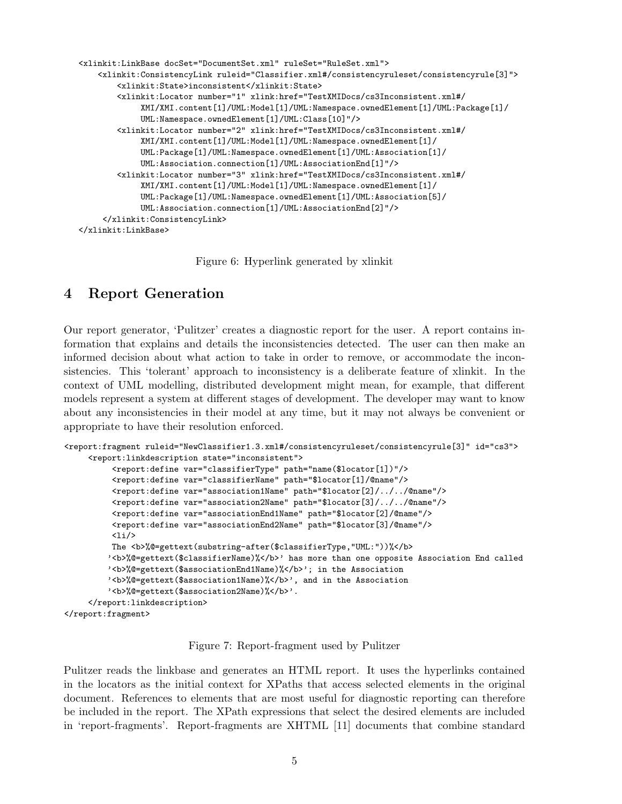```
<xlinkit:LinkBase docSet="DocumentSet.xml" ruleSet="RuleSet.xml">
    <xlinkit:ConsistencyLink ruleid="Classifier.xml#/consistencyruleset/consistencyrule[3]">
        <xlinkit:State>inconsistent</xlinkit:State>
        <xlinkit:Locator number="1" xlink:href="TestXMIDocs/cs3Inconsistent.xml#/
             XMI/XMI.content[1]/UML:Model[1]/UML:Namespace.ownedElement[1]/UML:Package[1]/
             UML:Namespace.ownedElement[1]/UML:Class[10]"/>
       <xlinkit:Locator number="2" xlink:href="TestXMIDocs/cs3Inconsistent.xml#/
            XMI/XMI.content[1]/UML:Model[1]/UML:Namespace.ownedElement[1]/
             UML:Package[1]/UML:Namespace.ownedElement[1]/UML:Association[1]/
            UML:Association.connection[1]/UML:AssociationEnd[1]"/>
        <xlinkit:Locator number="3" xlink:href="TestXMIDocs/cs3Inconsistent.xml#/
             XMI/XMI.content[1]/UML:Model[1]/UML:Namespace.ownedElement[1]/
             UML:Package[1]/UML:Namespace.ownedElement[1]/UML:Association[5]/
             UML:Association.connection[1]/UML:AssociationEnd[2]"/>
    </xlinkit:ConsistencyLink>
</xlinkit:LinkBase>
```
Figure 6: Hyperlink generated by xlinkit

### 4 Report Generation

Our report generator, 'Pulitzer' creates a diagnostic report for the user. A report contains information that explains and details the inconsistencies detected. The user can then make an informed decision about what action to take in order to remove, or accommodate the inconsistencies. This 'tolerant' approach to inconsistency is a deliberate feature of xlinkit. In the context of UML modelling, distributed development might mean, for example, that different models represent a system at different stages of development. The developer may want to know about any inconsistencies in their model at any time, but it may not always be convenient or appropriate to have their resolution enforced.

```
<report:fragment ruleid="NewClassifier1.3.xml#/consistencyruleset/consistencyrule[3]" id="cs3">
     <report:linkdescription state="inconsistent">
          <report:define var="classifierType" path="name($locator[1])"/>
          <report:define var="classifierName" path="$locator[1]/@name"/>
          <report:define var="association1Name" path="$locator[2]/../../@name"/>
          <report:define var="association2Name" path="$locator[3]/../../@name"/>
          <report:define var="associationEnd1Name" path="$locator[2]/@name"/>
          <report:define var="associationEnd2Name" path="$locator[3]/@name"/>
          \langleli/>
         The <b>%@=gettext(substring-after($classifierType,"UML:"))%</b>
         '<b>%@=gettext($classifierName)%</b>' has more than one opposite Association End called
         '<b>%@=gettext($associationEnd1Name)%</b>'; in the Association
         '<b>%@=gettext($association1Name)%</b>', and in the Association
         '<b>%@=gettext($association2Name)%</b>'.
     </report:linkdescription>
</report:fragment>
```
Figure 7: Report-fragment used by Pulitzer

Pulitzer reads the linkbase and generates an HTML report. It uses the hyperlinks contained in the locators as the initial context for XPaths that access selected elements in the original document. References to elements that are most useful for diagnostic reporting can therefore be included in the report. The XPath expressions that select the desired elements are included in 'report-fragments'. Report-fragments are XHTML [11] documents that combine standard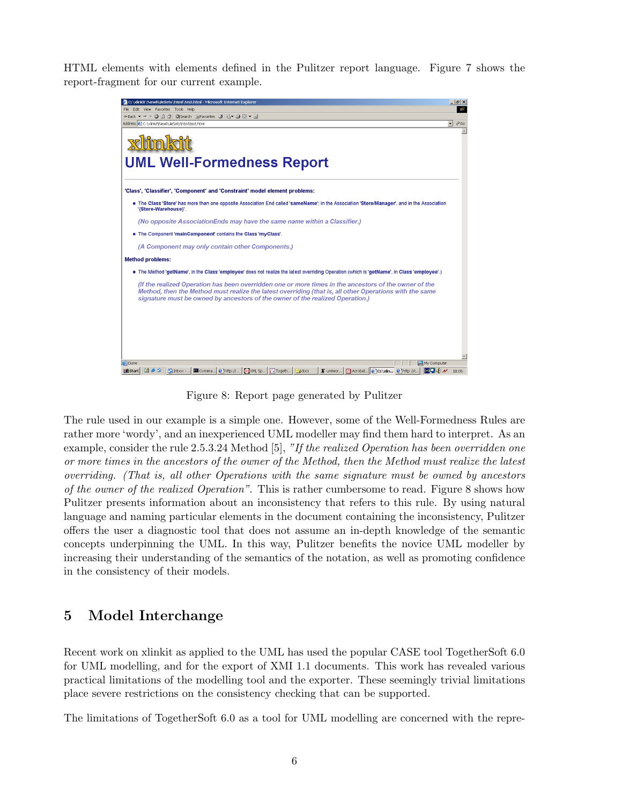HTML elements with elements defined in the Pulitzer report language. Figure 7 shows the report-fragment for our current example.



Figure 8: Report page generated by Pulitzer

The rule used in our example is a simple one. However, some of the Well-Formedness Rules are rather more 'wordy', and an inexperienced UML modeller may find them hard to interpret. As an example, consider the rule 2.5.3.24 Method [5], "If the realized Operation has been overridden one or more times in the ancestors of the owner of the Method, then the Method must realize the latest overriding. (That is, all other Operations with the same signature must be owned by ancestors of the owner of the realized Operation". This is rather cumbersome to read. Figure 8 shows how Pulitzer presents information about an inconsistency that refers to this rule. By using natural language and naming particular elements in the document containing the inconsistency, Pulitzer offers the user a diagnostic tool that does not assume an in-depth knowledge of the semantic concepts underpinning the UML. In this way, Pulitzer benefits the novice UML modeller by increasing their understanding of the semantics of the notation, as well as promoting confidence in the consistency of their models.

# 5 Model Interchange

Recent work on xlinkit as applied to the UML has used the popular CASE tool TogetherSoft 6.0 for UML modelling, and for the export of XMI 1.1 documents. This work has revealed various practical limitations of the modelling tool and the exporter. These seemingly trivial limitations place severe restrictions on the consistency checking that can be supported.

The limitations of TogetherSoft 6.0 as a tool for UML modelling are concerned with the repre-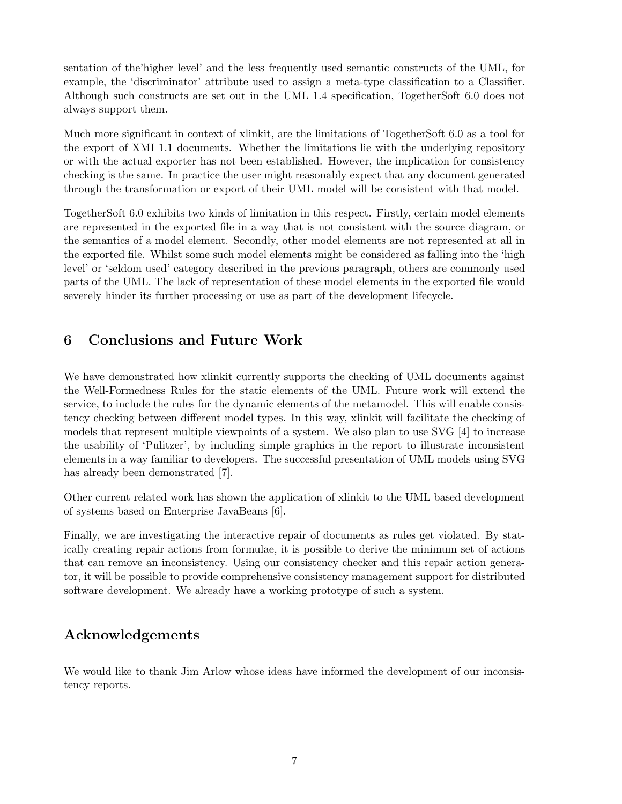sentation of the'higher level' and the less frequently used semantic constructs of the UML, for example, the 'discriminator' attribute used to assign a meta-type classification to a Classifier. Although such constructs are set out in the UML 1.4 specification, TogetherSoft 6.0 does not always support them.

Much more significant in context of xlinkit, are the limitations of TogetherSoft 6.0 as a tool for the export of XMI 1.1 documents. Whether the limitations lie with the underlying repository or with the actual exporter has not been established. However, the implication for consistency checking is the same. In practice the user might reasonably expect that any document generated through the transformation or export of their UML model will be consistent with that model.

TogetherSoft 6.0 exhibits two kinds of limitation in this respect. Firstly, certain model elements are represented in the exported file in a way that is not consistent with the source diagram, or the semantics of a model element. Secondly, other model elements are not represented at all in the exported file. Whilst some such model elements might be considered as falling into the 'high level' or 'seldom used' category described in the previous paragraph, others are commonly used parts of the UML. The lack of representation of these model elements in the exported file would severely hinder its further processing or use as part of the development lifecycle.

### 6 Conclusions and Future Work

We have demonstrated how xlinkit currently supports the checking of UML documents against the Well-Formedness Rules for the static elements of the UML. Future work will extend the service, to include the rules for the dynamic elements of the metamodel. This will enable consistency checking between different model types. In this way, xlinkit will facilitate the checking of models that represent multiple viewpoints of a system. We also plan to use SVG [4] to increase the usability of 'Pulitzer', by including simple graphics in the report to illustrate inconsistent elements in a way familiar to developers. The successful presentation of UML models using SVG has already been demonstrated [7].

Other current related work has shown the application of xlinkit to the UML based development of systems based on Enterprise JavaBeans [6].

Finally, we are investigating the interactive repair of documents as rules get violated. By statically creating repair actions from formulae, it is possible to derive the minimum set of actions that can remove an inconsistency. Using our consistency checker and this repair action generator, it will be possible to provide comprehensive consistency management support for distributed software development. We already have a working prototype of such a system.

# Acknowledgements

We would like to thank Jim Arlow whose ideas have informed the development of our inconsistency reports.